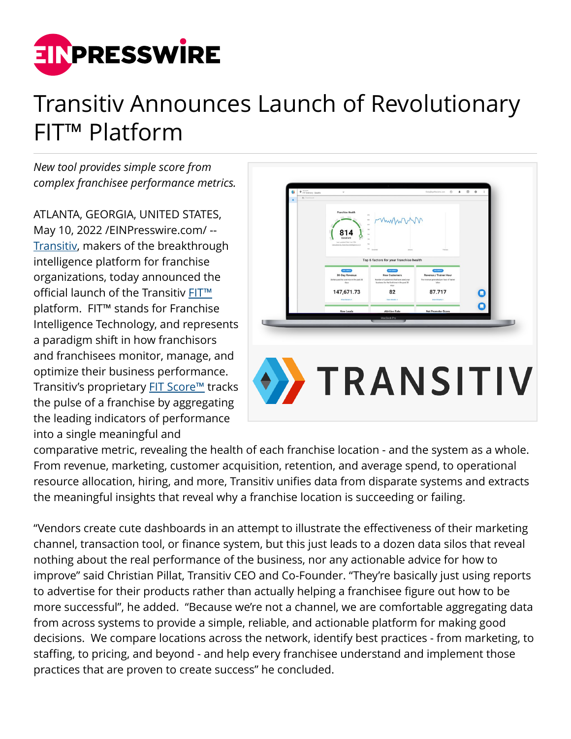

## Transitiv Announces Launch of Revolutionary FIT™ Platform

*New tool provides simple score from complex franchisee performance metrics.*

ATLANTA, GEORGIA, UNITED STATES, May 10, 2022 [/EINPresswire.com](http://www.einpresswire.com)/ -- [Transitiv,](https://bit.ly/39c9O7v) makers of the breakthrough intelligence platform for franchise organizations, today announced the official launch of the Transitiv [FIT™](https://bit.ly/39c9O7v) platform. FIT™ stands for Franchise Intelligence Technology, and represents a paradigm shift in how franchisors and franchisees monitor, manage, and optimize their business performance. Transitiv's proprietary **[FIT Score™](https://bit.ly/39c9O7v)** tracks the pulse of a franchise by aggregating the leading indicators of performance into a single meaningful and



comparative metric, revealing the health of each franchise location - and the system as a whole. From revenue, marketing, customer acquisition, retention, and average spend, to operational resource allocation, hiring, and more, Transitiv unifies data from disparate systems and extracts the meaningful insights that reveal why a franchise location is succeeding or failing.

"Vendors create cute dashboards in an attempt to illustrate the effectiveness of their marketing channel, transaction tool, or finance system, but this just leads to a dozen data silos that reveal nothing about the real performance of the business, nor any actionable advice for how to improve" said Christian Pillat, Transitiv CEO and Co-Founder. "They're basically just using reports to advertise for their products rather than actually helping a franchisee figure out how to be more successful", he added. "Because we're not a channel, we are comfortable aggregating data from across systems to provide a simple, reliable, and actionable platform for making good decisions. We compare locations across the network, identify best practices - from marketing, to staffing, to pricing, and beyond - and help every franchisee understand and implement those practices that are proven to create success" he concluded.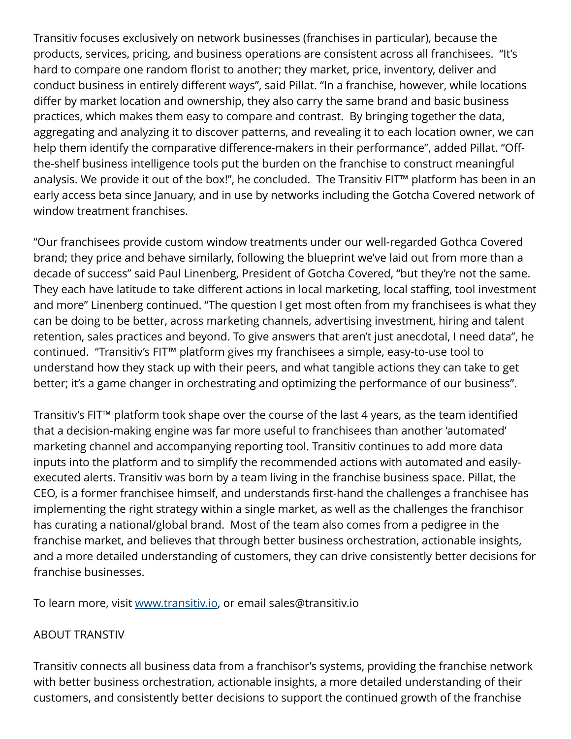Transitiv focuses exclusively on network businesses (franchises in particular), because the products, services, pricing, and business operations are consistent across all franchisees. "It's hard to compare one random florist to another; they market, price, inventory, deliver and conduct business in entirely different ways", said Pillat. "In a franchise, however, while locations differ by market location and ownership, they also carry the same brand and basic business practices, which makes them easy to compare and contrast. By bringing together the data, aggregating and analyzing it to discover patterns, and revealing it to each location owner, we can help them identify the comparative difference-makers in their performance", added Pillat. "Offthe-shelf business intelligence tools put the burden on the franchise to construct meaningful analysis. We provide it out of the box!", he concluded. The Transitiv FIT™ platform has been in an early access beta since January, and in use by networks including the Gotcha Covered network of window treatment franchises.

"Our franchisees provide custom window treatments under our well-regarded Gothca Covered brand; they price and behave similarly, following the blueprint we've laid out from more than a decade of success" said Paul Linenberg, President of Gotcha Covered, "but they're not the same. They each have latitude to take different actions in local marketing, local staffing, tool investment and more" Linenberg continued. "The question I get most often from my franchisees is what they can be doing to be better, across marketing channels, advertising investment, hiring and talent retention, sales practices and beyond. To give answers that aren't just anecdotal, I need data", he continued. "Transitiv's FIT™ platform gives my franchisees a simple, easy-to-use tool to understand how they stack up with their peers, and what tangible actions they can take to get better; it's a game changer in orchestrating and optimizing the performance of our business".

Transitiv's FIT™ platform took shape over the course of the last 4 years, as the team identified that a decision-making engine was far more useful to franchisees than another 'automated' marketing channel and accompanying reporting tool. Transitiv continues to add more data inputs into the platform and to simplify the recommended actions with automated and easilyexecuted alerts. Transitiv was born by a team living in the franchise business space. Pillat, the CEO, is a former franchisee himself, and understands first-hand the challenges a franchisee has implementing the right strategy within a single market, as well as the challenges the franchisor has curating a national/global brand. Most of the team also comes from a pedigree in the franchise market, and believes that through better business orchestration, actionable insights, and a more detailed understanding of customers, they can drive consistently better decisions for franchise businesses.

To learn more, visit [www.transitiv.io](http://www.transitiv.io), or email sales@transitiv.io

## ABOUT TRANSTIV

Transitiv connects all business data from a franchisor's systems, providing the franchise network with better business orchestration, actionable insights, a more detailed understanding of their customers, and consistently better decisions to support the continued growth of the franchise